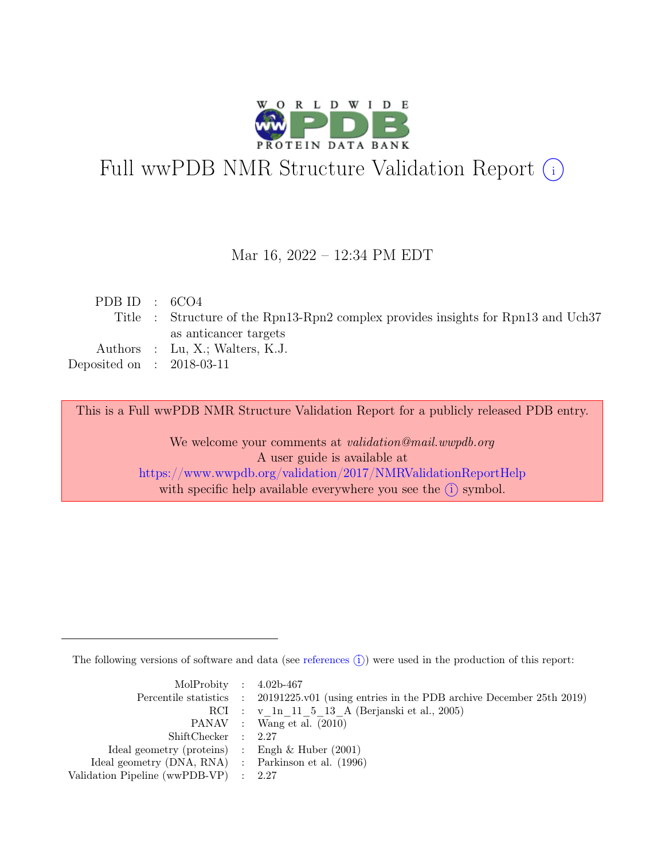

# Full wwPDB NMR Structure Validation Report (i)

### Mar 16, 2022 – 12:34 PM EDT

| PDB ID : $6CO4$             |                                                                                   |
|-----------------------------|-----------------------------------------------------------------------------------|
|                             | Title : Structure of the Rpn13-Rpn2 complex provides insights for Rpn13 and Uch37 |
|                             | as anticancer targets                                                             |
|                             | Authors : Lu, X.; Walters, K.J.                                                   |
| Deposited on : $2018-03-11$ |                                                                                   |
|                             |                                                                                   |

This is a Full wwPDB NMR Structure Validation Report for a publicly released PDB entry.

We welcome your comments at *validation@mail.wwpdb.org* A user guide is available at <https://www.wwpdb.org/validation/2017/NMRValidationReportHelp> with specific help available everywhere you see the  $(i)$  symbol.

The following versions of software and data (see [references](https://www.wwpdb.org/validation/2017/NMRValidationReportHelp#references)  $\hat{I}$ ) were used in the production of this report:

| MolProbity : $4.02b-467$                            |                                                                                            |
|-----------------------------------------------------|--------------------------------------------------------------------------------------------|
|                                                     | Percentile statistics : 20191225.v01 (using entries in the PDB archive December 25th 2019) |
|                                                     | RCI : v 1n 11 5 13 A (Berjanski et al., 2005)                                              |
|                                                     | PANAV : Wang et al. (2010)                                                                 |
| ShiftChecker : 2.27                                 |                                                                                            |
| Ideal geometry (proteins) : Engh $\&$ Huber (2001)  |                                                                                            |
| Ideal geometry (DNA, RNA) : Parkinson et al. (1996) |                                                                                            |
| Validation Pipeline (wwPDB-VP) : 2.27               |                                                                                            |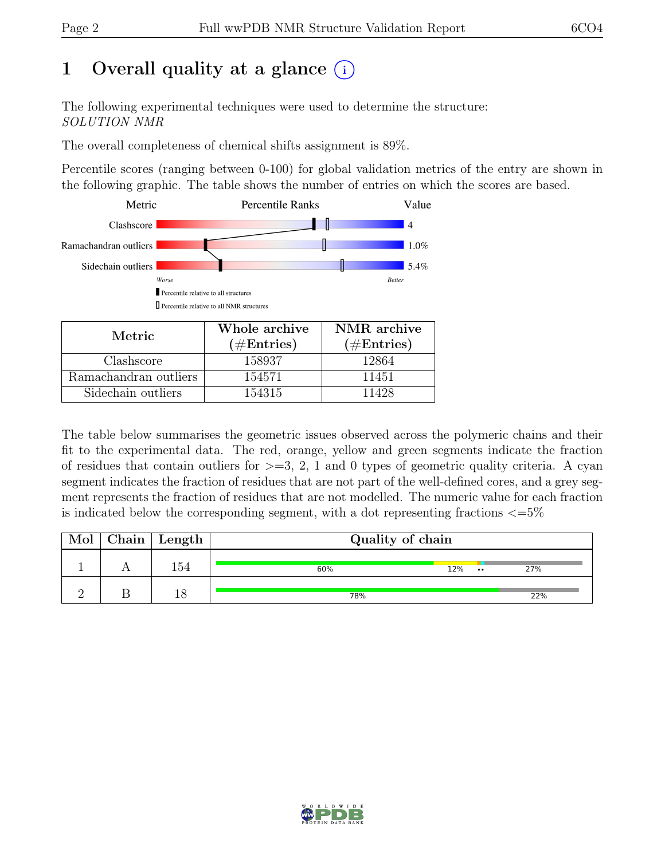# 1 Overall quality at a glance  $(i)$

The following experimental techniques were used to determine the structure: SOLUTION NMR

The overall completeness of chemical shifts assignment is 89%.

Percentile scores (ranging between 0-100) for global validation metrics of the entry are shown in the following graphic. The table shows the number of entries on which the scores are based.



| Metric.               | Whole archive | NMR archive   |
|-----------------------|---------------|---------------|
|                       | $(\#Entries)$ | $(\#Entries)$ |
| Clashscore            | 158937        | 12864         |
| Ramachandran outliers | 154571        | 11451         |
| Sidechain outliers    | 154315        | 11428         |

The table below summarises the geometric issues observed across the polymeric chains and their fit to the experimental data. The red, orange, yellow and green segments indicate the fraction of residues that contain outliers for  $>=$  3, 2, 1 and 0 types of geometric quality criteria. A cyan segment indicates the fraction of residues that are not part of the well-defined cores, and a grey segment represents the fraction of residues that are not modelled. The numeric value for each fraction is indicated below the corresponding segment, with a dot representing fractions  $\langle=5\%$ 

|  | $\mid$ Chain $\mid$ Length | Quality of chain |               |     |
|--|----------------------------|------------------|---------------|-----|
|  |                            | 12%<br>60%       | $\cdot \cdot$ | 27% |
|  |                            | 78%              |               | 22% |

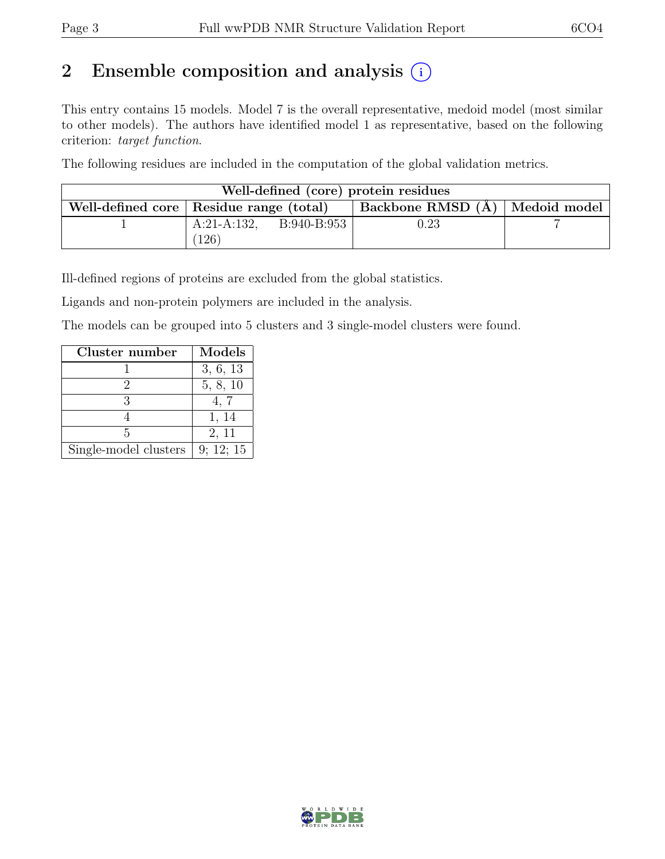# 2 Ensemble composition and analysis  $(i)$

This entry contains 15 models. Model 7 is the overall representative, medoid model (most similar to other models). The authors have identified model 1 as representative, based on the following criterion: target function.

The following residues are included in the computation of the global validation metrics.

| Well-defined (core) protein residues      |                              |  |                                    |  |  |  |  |  |  |  |  |  |  |  |
|-------------------------------------------|------------------------------|--|------------------------------------|--|--|--|--|--|--|--|--|--|--|--|
| Well-defined core   Residue range (total) |                              |  | Backbone RMSD $(A)$   Medoid model |  |  |  |  |  |  |  |  |  |  |  |
|                                           | $A:21-A:132$ , $B:940-B:953$ |  | $\rm 0.23$                         |  |  |  |  |  |  |  |  |  |  |  |
|                                           | 126                          |  |                                    |  |  |  |  |  |  |  |  |  |  |  |

Ill-defined regions of proteins are excluded from the global statistics.

Ligands and non-protein polymers are included in the analysis.

The models can be grouped into 5 clusters and 3 single-model clusters were found.

| Cluster number        | Models    |
|-----------------------|-----------|
|                       | 3, 6, 13  |
|                       | 5, 8, 10  |
|                       | 4, 7      |
|                       | 1, 14     |
| 5                     | 2, 11     |
| Single-model clusters | 9; 12; 15 |

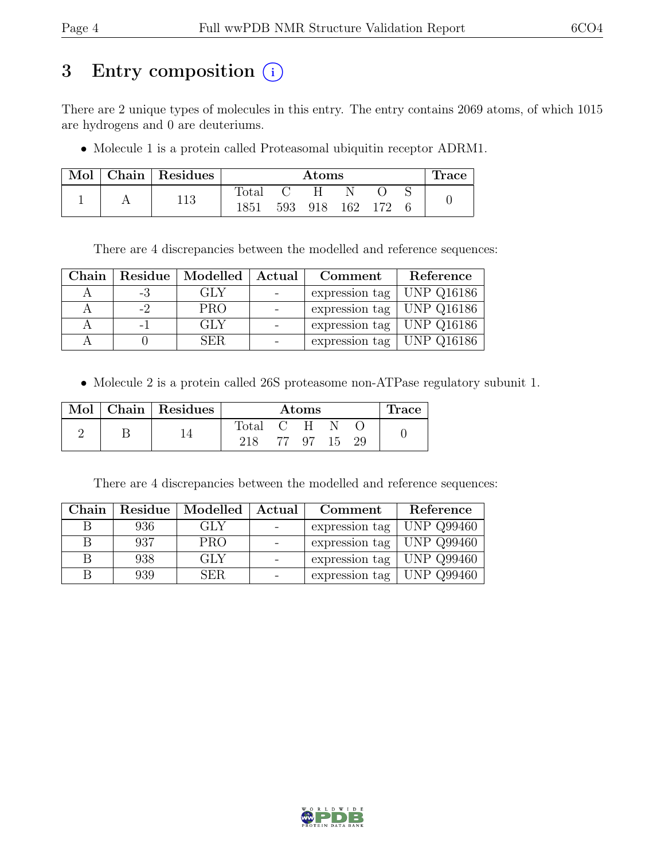# 3 Entry composition (i)

There are 2 unique types of molecules in this entry. The entry contains 2069 atoms, of which 1015 are hydrogens and 0 are deuteriums.

• Molecule 1 is a protein called Proteasomal ubiquitin receptor ADRM1.

| Mol | $Chain$ Residues |                | $\rm{Atoms}$ |  |         |     |  |  |  |  |  |  |  |  |  |  |
|-----|------------------|----------------|--------------|--|---------|-----|--|--|--|--|--|--|--|--|--|--|
|     |                  | $_{\rm Total}$ |              |  |         |     |  |  |  |  |  |  |  |  |  |  |
|     | 113              | 1851           | 593          |  | 918 162 | 172 |  |  |  |  |  |  |  |  |  |  |

There are 4 discrepancies between the modelled and reference sequences:

| Chain |      | Residue   Modelled   Actual | Comment                       | Reference         |
|-------|------|-----------------------------|-------------------------------|-------------------|
|       | -3   | GLY                         | expression tag                | UNP Q16186        |
|       | $-2$ | <b>PRO</b>                  | expression tag   UNP $Q16186$ |                   |
|       |      | GLY                         | expression tag   UNP $Q16186$ |                   |
|       |      | SER.                        | expression tag                | $\mid$ UNP Q16186 |

• Molecule 2 is a protein called 26S proteasome non-ATPase regulatory subunit 1.

|  | Mol   Chain   Residues |           | Trace    |  |  |
|--|------------------------|-----------|----------|--|--|
|  |                        | Total C H |          |  |  |
|  |                        |           | 77 97 15 |  |  |

There are 4 discrepancies between the modelled and reference sequences:

| Chain |     | Residue   Modelled | Actual | Comment                           | Reference         |
|-------|-----|--------------------|--------|-----------------------------------|-------------------|
|       | 936 | GLY                |        | expression tag                    | <b>UNP Q99460</b> |
| В     | 937 | <b>PRO</b>         |        | expression tag $\vert$ UNP Q99460 |                   |
|       | 938 | GLY                |        | expression tag $\vert$ UNP Q99460 |                   |
|       | 939 | SER.               |        | expression tag                    | UNP Q99460        |

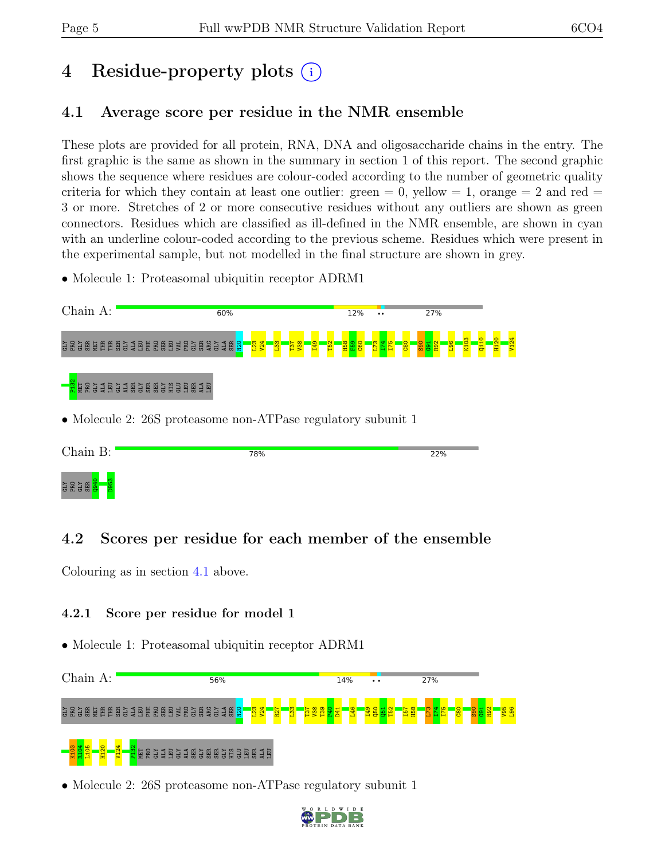# 4 Residue-property plots (i)

## <span id="page-4-0"></span>4.1 Average score per residue in the NMR ensemble

These plots are provided for all protein, RNA, DNA and oligosaccharide chains in the entry. The first graphic is the same as shown in the summary in section 1 of this report. The second graphic shows the sequence where residues are colour-coded according to the number of geometric quality criteria for which they contain at least one outlier: green  $= 0$ , yellow  $= 1$ , orange  $= 2$  and red  $=$ 3 or more. Stretches of 2 or more consecutive residues without any outliers are shown as green connectors. Residues which are classified as ill-defined in the NMR ensemble, are shown in cyan with an underline colour-coded according to the previous scheme. Residues which were present in the experimental sample, but not modelled in the final structure are shown in grey.

• Molecule 1: Proteasomal ubiquitin receptor ADRM1



### 4.2 Scores per residue for each member of the ensemble

Colouring as in section [4.1](#page-4-0) above.

### 4.2.1 Score per residue for model 1

• Molecule 1: Proteasomal ubiquitin receptor ADRM1



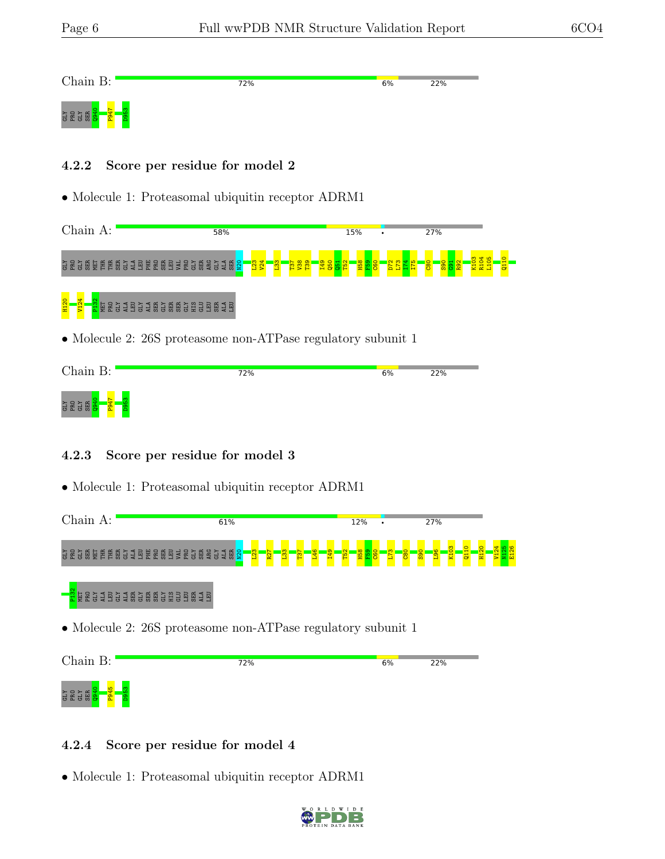| Chain B:   | 72% | 6% | 22% |
|------------|-----|----|-----|
| <b>KTD</b> |     |    |     |

#### 4.2.2 Score per residue for model 2

• Molecule 1: Proteasomal ubiquitin receptor ADRM1

| Chain A:                 |  |     |        |                     |   |   | 58%                 |   |                     |   |        |   |                              |                      |            |  |  |                          |  | 15%<br>٠ |  |  |  |  |  |   |  |  | 27%            |   |  |  |   |  |  |  |  |  |  |  |  |  |  |  |  |  |  |                |  |
|--------------------------|--|-----|--------|---------------------|---|---|---------------------|---|---------------------|---|--------|---|------------------------------|----------------------|------------|--|--|--------------------------|--|----------|--|--|--|--|--|---|--|--|----------------|---|--|--|---|--|--|--|--|--|--|--|--|--|--|--|--|--|--|----------------|--|
| <b>ATE</b><br>ATE<br>ATE |  | 留置度 | 臣<br>日 | 臣<br>$\overline{a}$ | а | м | Ħ<br>$\overline{a}$ | 닍 | 帯<br>$\overline{r}$ | м | ᇦ<br>ь | 넕 | л<br>$\overline{\mathbf{c}}$ | 問<br>$\overline{50}$ | မ္တ<br>ਵ ਰ |  |  | ۱ <u>၃</u><br>甬<br>ਕ ਯ ਏ |  | m        |  |  |  |  |  | ÷ |  |  | $\overline{a}$ | õ |  |  | œ |  |  |  |  |  |  |  |  |  |  |  |  |  |  | $\overline{a}$ |  |
| <b>H120</b>              |  |     | 唱<br>H | æ                   |   | a | -                   |   | æ                   | 忈 | H      | क | Ħ                            | क                    |            |  |  |                          |  |          |  |  |  |  |  |   |  |  |                |   |  |  |   |  |  |  |  |  |  |  |  |  |  |  |  |  |  |                |  |

• Molecule 2: 26S proteasome non-ATPase regulatory subunit 1

| Chain B:                          | 72% | 6% | 22% |
|-----------------------------------|-----|----|-----|
| <b>GLY</b><br>PRO<br><b>va</b> er |     |    |     |

### 4.2.3 Score per residue for model 3

• Molecule 1: Proteasomal ubiquitin receptor ADRM1

| Chain A:                                                                                                                                         | 61%                                          |                                                | 12%<br>$\bullet$ | 27%                                            |  |
|--------------------------------------------------------------------------------------------------------------------------------------------------|----------------------------------------------|------------------------------------------------|------------------|------------------------------------------------|--|
| <b>GRGBBEEBG</b><br>- 1928<br>Ħ<br>H<br><b>BESTE</b><br>m<br>효효<br>$\overline{m}$                                                                | R <sub>8</sub><br><b>ARCHARG</b><br>결阻<br>20 | ത<br>$\overline{65}$<br>ত্র<br>T <sub>37</sub> | <b>B</b><br>0    | $\circ$<br>$\overline{\mathbf{H}}$<br>တ္တ<br>급 |  |
| <b>ES</b><br>- 13<br>囹<br>甬<br>岛<br><b>GLY</b><br>崮<br>G<br>鬲<br>품품<br>$\overline{1}$<br>E<br>$\overline{m}$<br>$\overline{r}$<br>$\overline{r}$ | R                                            |                                                |                  |                                                |  |

• Molecule 2: 26S proteasome non-ATPase regulatory subunit 1



### 4.2.4 Score per residue for model 4

• Molecule 1: Proteasomal ubiquitin receptor ADRM1

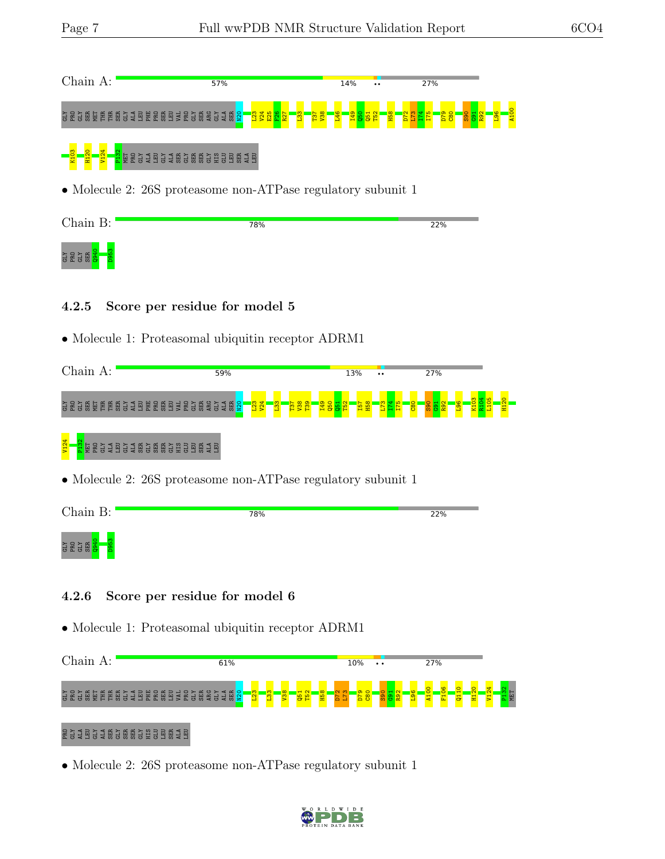$\mathbf{E}$ 

| Chain A:                                                                                                                                                                                                                                             | 57% | 14% | 27%                                                                   |
|------------------------------------------------------------------------------------------------------------------------------------------------------------------------------------------------------------------------------------------------------|-----|-----|-----------------------------------------------------------------------|
| င္ ဥ င္မိမိုခြင့္အျမင္ အေမြန္ ဥ မိမိခိုင္ ေမွ်ာ္လြင့္ ေမြးေဆြးေဆြးေဆြးေဆြးေဆြးေဆြးေ                                                                                                                                                                  |     |     | $\frac{1}{2}$ $\frac{1}{2}$ $\frac{1}{2}$ $\frac{1}{2}$ $\frac{1}{2}$ |
| <mark>- ខ្ញុំ - ខ្ញុំ - ខ្ញុំ - ខ្ញុំ</mark> - <mark>ខ្ញុំ</mark> - ខ្ញុំ ដូ ខ្ញុំ ដូ ខ្ញុំ ខ្ញុំ ខ្ញុំ ខ្ញុំ ខ្ញុំ ខ្ញុំ ខ្ញុំ ខ្ញុំ ខ្ញុំ ខ្ញុំ ខ្ញុំ ខ្ញុំ ខ្ញុំ ខ្ញុំ ខ្ញុំ ខ្ញុំ ខ្ញុំ ខ្ញុំ ខ្ញុំ ខ្ញុំ ខ្ញុំ ខ្ញុំ ខ្ញុំ ខ្ញុំ ខ្ញុំ ខ្ញុំ ខ្ |     |     |                                                                       |
| • Molecule 2: 26S proteasome non-ATPase regulatory subunit 1                                                                                                                                                                                         |     |     |                                                                       |

| Chain B:                          | 78% | 22% |
|-----------------------------------|-----|-----|
| 군 모습 및 <mark>호</mark><br><b>B</b> |     |     |

### 4.2.5 Score per residue for model 5

• Molecule 1: Proteasomal ubiquitin receptor ADRM1

| Chain A:                                                                                                                   | 59%                                                                                                                  | 13%<br>$\bullet\bullet$                                                                     | 27% |
|----------------------------------------------------------------------------------------------------------------------------|----------------------------------------------------------------------------------------------------------------------|---------------------------------------------------------------------------------------------|-----|
| 呂<br>晑<br>胃圆<br>臣<br>说<br>급<br>띚<br>핔<br>븀<br>븀<br>ы<br>듮.<br>$\overline{r}$                                               | <b>123</b><br>V24<br>$\frac{1}{2}$ $\frac{1}{2}$ $\frac{1}{2}$<br>團<br>혽<br>阻력님<br>$\overline{\mathbf{a}}$<br>븕<br>S | 읐.<br>T <sub>39</sub><br>I <sub>49</sub><br>nea<br><mark>1역 그</mark><br>曾<br>曾<br><b>음음</b> |     |
| 4<br>V12<br>ы<br>黃.<br>$\overline{5}$<br>$\overline{m}$<br>$\overline{m}$<br>$\overline{5}$<br>てつ<br>$\Omega$<br>$-1$<br>æ | $\mathbf{H}$<br>55<br>$\overline{m}$<br>55<br>ď<br><b>.</b>                                                          |                                                                                             |     |

• Molecule 2: 26S proteasome non-ATPase regulatory subunit 1

| Chain B:          | 78% | 22% |
|-------------------|-----|-----|
| <b>SESS</b><br>B. |     |     |

### 4.2.6 Score per residue for model 6

• Molecule 1: Proteasomal ubiquitin receptor ADRM1

| Chain<br>$A$ :                                                                      | 61%                                                                                  | 10%                                                              | 27%<br>$\bullet\hspace{0.4mm}\bullet\hspace{0.4mm}$ |                                              |
|-------------------------------------------------------------------------------------|--------------------------------------------------------------------------------------|------------------------------------------------------------------|-----------------------------------------------------|----------------------------------------------|
| <u>유명한</u><br>연결 연합<br>胃圆<br>离<br>포<br>띡<br>m<br>ы<br>름<br>眉<br>ᇦ<br>$\overline{r}$ | 52<br>$\frac{123}{2}$<br>$\frac{400}{20}$<br>$\overline{B}$<br>띪<br>븀<br>ᇦ<br>٣<br>뜼 | $\mathbf{N}$<br>m<br>$\frac{80}{20}$<br>Ħ<br>െ<br><b>E</b><br>မိ | ŏ<br>ō<br>¢<br>굢                                    | NET<br>$\div$<br>$\mathbf{\alpha}$<br>표<br>륨 |
| <b>RESIE</b><br>50505 H<br>$\approx$ $\omega$<br>55<br>55<br>-1                     | $\omega$                                                                             |                                                                  |                                                     |                                              |

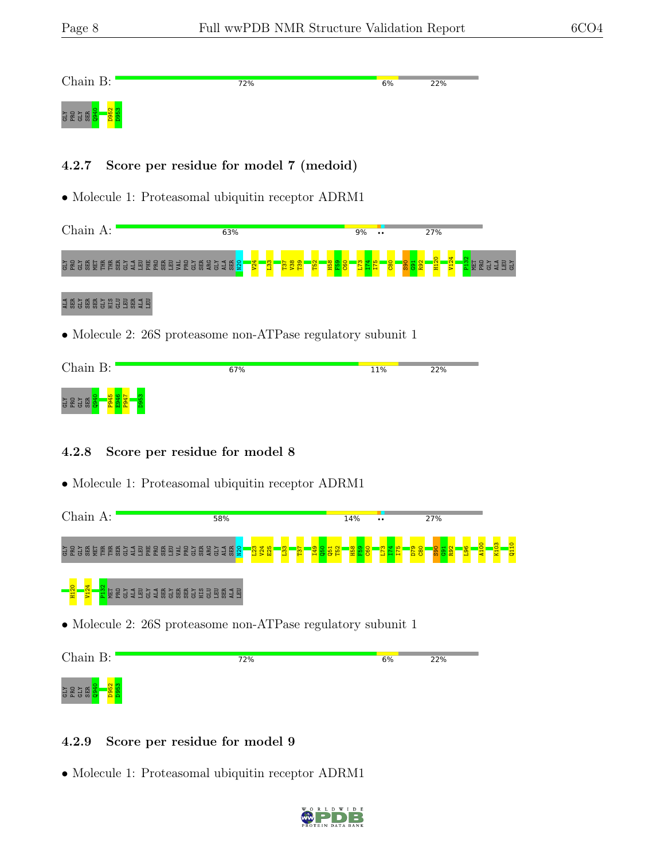**SES** 

| Chain B:                | 72% | 6% | 22% |
|-------------------------|-----|----|-----|
| <b>CLY</b><br>YLID<br>- |     |    |     |

### 4.2.7 Score per residue for model 7 (medoid)

• Molecule 1: Proteasomal ubiquitin receptor ADRM1

|                                       | 63% |  | 9%<br>$\bullet\bullet$ | 27% |  |
|---------------------------------------|-----|--|------------------------|-----|--|
| <b>CHA</b><br>KTD<br>- 15 年<br>Ħ<br>₩ |     |  | 0<br>ᢟ                 |     |  |

### 1 G.S. G. G. S. S. S. S. G. G. S. S. S. S. G. G. G. S. S. S. G. G. G. A. S. S. G. G. G. G. G. G. G. G. G. G. G

• Molecule 2: 26S proteasome non-ATPase regulatory subunit 1

| Chain B:   | 67% | 11% | 22% |
|------------|-----|-----|-----|
| <b>CH4</b> |     |     |     |

### 4.2.8 Score per residue for model 8

• Molecule 1: Proteasomal ubiquitin receptor ADRM1



### 4.2.9 Score per residue for model 9

• Molecule 1: Proteasomal ubiquitin receptor ADRM1

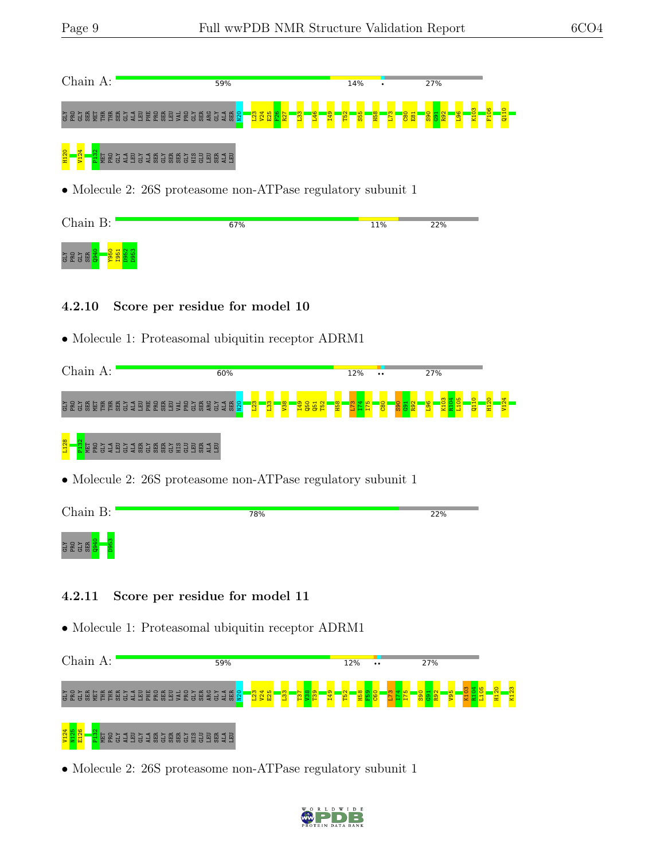| Chain A:                                                       | 59%                                                                   | 14%             | 27% |  |
|----------------------------------------------------------------|-----------------------------------------------------------------------|-----------------|-----|--|
|                                                                | $\frac{1}{2}$ $\frac{3}{2}$ $\frac{8}{2}$ $\frac{8}{2}$ $\frac{8}{2}$ | SS <sub>1</sub> |     |  |
| <b>ERGIBGIBGBBGGBBBB1B</b>                                     |                                                                       |                 |     |  |
|                                                                | • Molecule 2: 26S proteasome non-ATPase regulatory subunit 1          |                 |     |  |
| Chain B:                                                       | 67%                                                                   | 11%             | 22% |  |
| <b>GLY</b><br>PRO                                              |                                                                       |                 |     |  |
| 4.2.10                                                         | Score per residue for model 10                                        |                 |     |  |
|                                                                | • Molecule 1: Proteasomal ubiquitin receptor ADRM1                    |                 |     |  |
| Chain A:                                                       | 60%                                                                   | 12%             | 27% |  |
| S & S @ @ E E @ S J B E & @ B 3 & S @ @ S J 4 @ <mark>8</mark> |                                                                       |                 |     |  |
|                                                                |                                                                       |                 |     |  |

• Molecule 2: 26S proteasome non-ATPase regulatory subunit 1

| Chain B:    | 78% | 22% |
|-------------|-----|-----|
| <b>SESS</b> |     |     |

### 4.2.11 Score per residue for model 11

• Molecule 1: Proteasomal ubiquitin receptor ADRM1

| Chain<br>A:                                                                                                       | 59%                                                    | 12%<br>$\ddot{\phantom{0}}$ | 27%     |
|-------------------------------------------------------------------------------------------------------------------|--------------------------------------------------------|-----------------------------|---------|
| ğ<br>园<br>囯<br>혽<br>롡<br>惡<br>벌<br>曱<br><b>HE</b><br>国<br>Ħ<br><b>BB</b><br>閍<br>ಕ<br>$\mathbf{z}$<br>ᇦ<br>튭<br>ᄫ | 로 ES 2<br>ā<br>$\overline{S}$ $\overline{S}$<br>₽<br>≅ | <b>T52</b><br><b>H58</b>    | 8g<br>륯 |
| V124<br>핋<br>펵<br>惡<br>R.<br>H<br>;<br>閍<br>븀<br>買<br>띅<br>븀<br>ᇦ<br>Σ<br>븅<br>튭                                  | 핆<br>国<br>ᇦ                                            |                             |         |

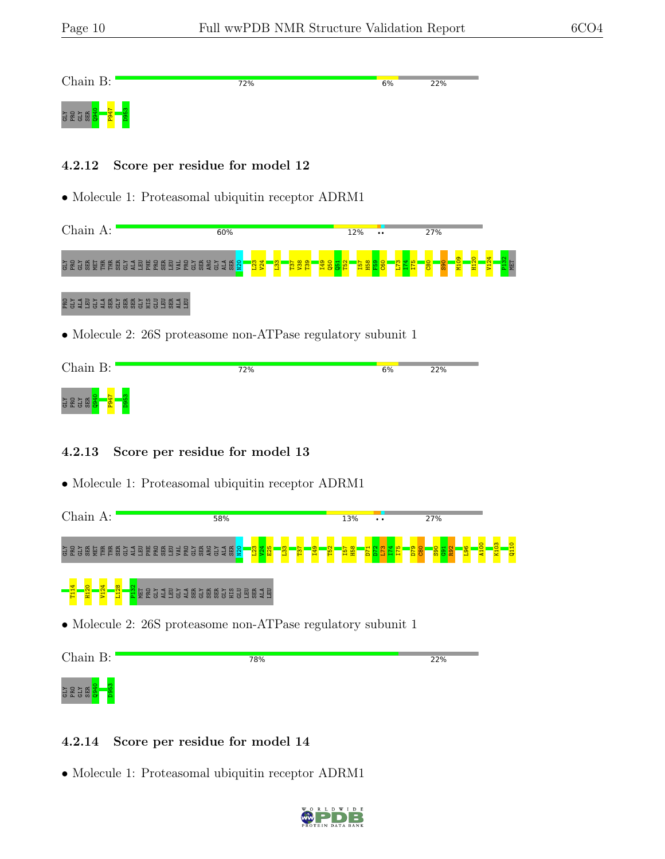| Chain B:          | 72% | 6% | 22% |
|-------------------|-----|----|-----|
| <b>CHA</b><br>KTD |     |    |     |

#### 4.2.12 Score per residue for model 12

• Molecule 1: Proteasomal ubiquitin receptor ADRM1

|                           | 60% | 12%<br>$\bullet\bullet$ | 27% |  |
|---------------------------|-----|-------------------------|-----|--|
| <b>CHA</b><br>₩<br>Æ<br>岸 | o   |                         | ை   |  |

### PRO GLY ALA LEU GLY ALA SER GLY SER SER GLY HIS GLU LEU SER ALA LEU

• Molecule 2: 26S proteasome non-ATPase regulatory subunit 1

| Chain B:                   | 72% | 6% | 22% |
|----------------------------|-----|----|-----|
| <b>CHA</b><br>Ä.<br>٥<br>ບ |     |    |     |

### 4.2.13 Score per residue for model 13

• Molecule 1: Proteasomal ubiquitin receptor ADRM1





#### 4.2.14 Score per residue for model 14

• Molecule 1: Proteasomal ubiquitin receptor ADRM1

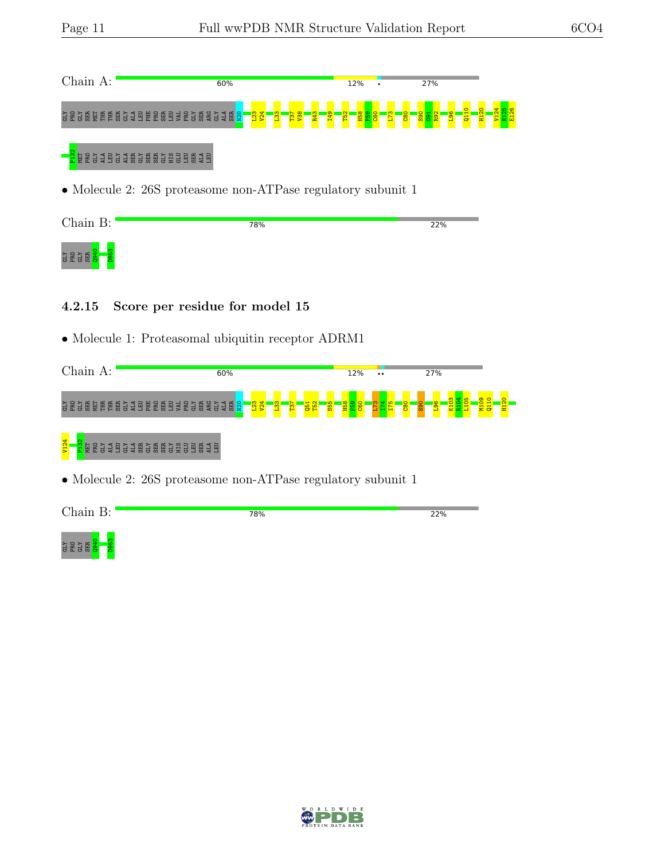| Chain A:                                                                                                                      | 60%                                         | 12%                                                            | 27%                                                                           |  |
|-------------------------------------------------------------------------------------------------------------------------------|---------------------------------------------|----------------------------------------------------------------|-------------------------------------------------------------------------------|--|
| GeGebeerges bekendses bestelling                                                                                              | R43<br>T49<br>$\frac{133}{2}$<br>8sh<br>LSL | E <mark>g.</mark><br><b>BSD</b><br><b>OSO</b><br>$rac{80}{20}$ | H12<br>8 <sup>o</sup><br>R <sub>92</sub><br>$\overline{q11}$<br>$rac{65}{65}$ |  |
| <mark>ដ្</mark> លី គេទី ទី ទី ទី ទី មី ទី មី មី ទី មី មី ទី ទី មី មី ទី មី មី ទី មី មី ទី មី មី ទី មី មី ទី មី មី ទី មី មី ទី |                                             |                                                                |                                                                               |  |
| • Molecule 2: 26S proteasome non-ATPase regulatory subunit 1                                                                  |                                             |                                                                |                                                                               |  |
| Chain B:                                                                                                                      | 78%                                         |                                                                | 22%                                                                           |  |
| <b>GLY</b>                                                                                                                    |                                             |                                                                |                                                                               |  |

### 4.2.15 Score per residue for model 15

• Molecule 1: Proteasomal ubiquitin receptor ADRM1

| Chain A:                                                                                                                                                                           | 60%                                                                                 |                                                                                        | 12%<br>$\bullet\bullet$ | 27%                        |                                   |
|------------------------------------------------------------------------------------------------------------------------------------------------------------------------------------|-------------------------------------------------------------------------------------|----------------------------------------------------------------------------------------|-------------------------|----------------------------|-----------------------------------|
| 囯<br>圆<br>畐<br><b>ER</b><br>멺<br>님<br>뜅<br>륩<br>륭<br>S<br>а<br>s<br>黃<br>'n.<br>$\overline{r}$                                                                                     | <b>AR</b><br>핆ള<br>혽<br>圆<br>$\ddot{a}$<br>g<br>$\mathbf{S}$<br>님<br>$\overline{1}$ | $\mathbf{\mathbf{\mathbf{\mathbf{\mathbf{\mathbf{H}}}}}}$<br><b>ug</b><br>8s<br>₩<br>е | $\frac{60}{20}$         | $rac{1}{20}$<br><b>S90</b> | 곮<br>믖<br>$\overline{\mathbf{G}}$ |
| V <sub>124</sub><br>E<br>Ě<br><b>A</b><br>Ы<br>同<br>ы<br>п<br>ਲ<br>듐<br>$\overline{1}$<br>a<br>$\pm$<br>$\overline{a}$<br>$\overline{r}$<br>$\overline{m}$<br>55<br>$\overline{r}$ | R<br>В<br>ы<br>南<br>12 G<br>ਲ<br>$\overline{m}$                                     |                                                                                        |                         |                            |                                   |

| $\overline{ }$<br>$\sim$<br>$\sim$ 3.30 $\sim$ | 78% | 22% |
|------------------------------------------------|-----|-----|
|                                                |     |     |



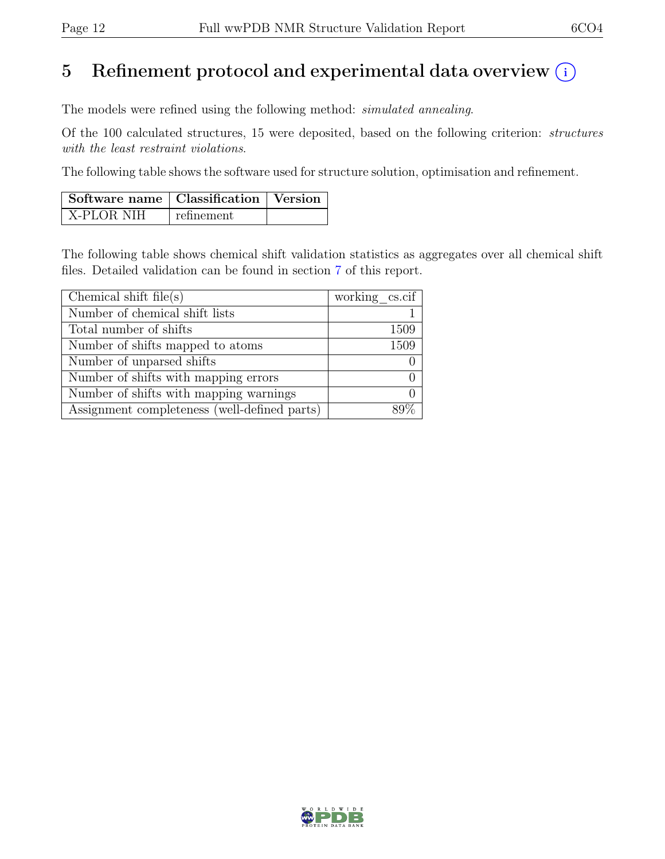## 5 Refinement protocol and experimental data overview  $(i)$

The models were refined using the following method: simulated annealing.

Of the 100 calculated structures, 15 were deposited, based on the following criterion: structures with the least restraint violations.

The following table shows the software used for structure solution, optimisation and refinement.

| Software name   Classification   Version |            |  |
|------------------------------------------|------------|--|
| X-PLOR NIH                               | refinement |  |

The following table shows chemical shift validation statistics as aggregates over all chemical shift files. Detailed validation can be found in section [7](#page-16-0) of this report.

| Chemical shift $file(s)$                     | working $\cscif$ |
|----------------------------------------------|------------------|
| Number of chemical shift lists               |                  |
| Total number of shifts                       | 1509             |
| Number of shifts mapped to atoms             | 1509             |
| Number of unparsed shifts                    |                  |
| Number of shifts with mapping errors         |                  |
| Number of shifts with mapping warnings       |                  |
| Assignment completeness (well-defined parts) |                  |

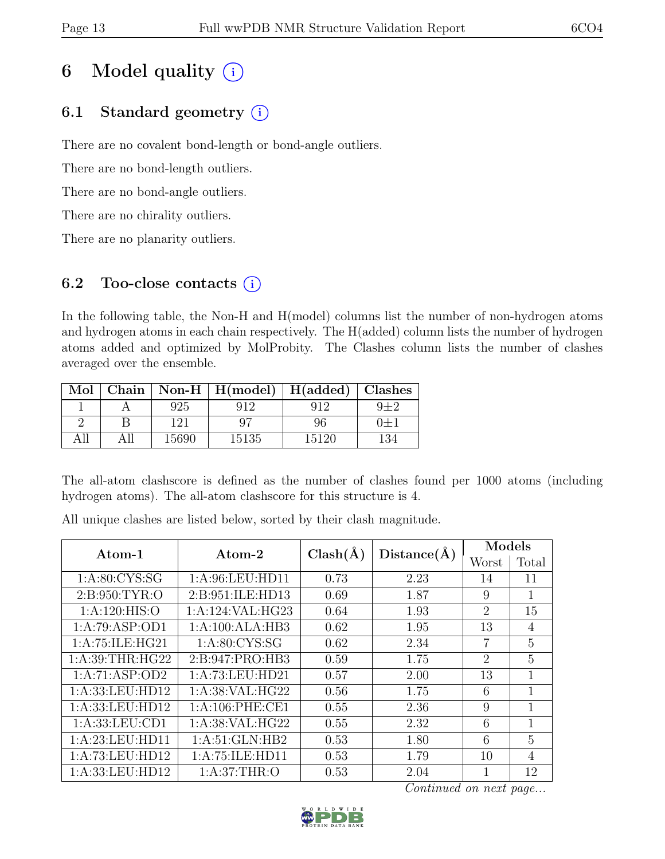# 6 Model quality  $(i)$

## 6.1 Standard geometry  $(i)$

There are no covalent bond-length or bond-angle outliers.

There are no bond-length outliers.

There are no bond-angle outliers.

There are no chirality outliers.

There are no planarity outliers.

## 6.2 Too-close contacts  $(i)$

In the following table, the Non-H and H(model) columns list the number of non-hydrogen atoms and hydrogen atoms in each chain respectively. The H(added) column lists the number of hydrogen atoms added and optimized by MolProbity. The Clashes column lists the number of clashes averaged over the ensemble.

| Mol |       | Chain   Non-H   $H(model)$   $H(added)$   Clashes |       |     |
|-----|-------|---------------------------------------------------|-------|-----|
|     | 925   |                                                   |       |     |
|     | 191   |                                                   | 96    | $+$ |
|     | 15690 | 15135                                             | 15120 |     |

The all-atom clashscore is defined as the number of clashes found per 1000 atoms (including hydrogen atoms). The all-atom clashscore for this structure is 4.

All unique clashes are listed below, sorted by their clash magnitude.

| $\rm{Atom}\textrm{-}1$ | $\rm{Atom}\text{-}2$ | $Clash(\AA)$ | Distance(A) | Models         |                |
|------------------------|----------------------|--------------|-------------|----------------|----------------|
|                        |                      |              |             | Worst          | Total          |
| 1: A:80: CYS:SG        | 1:A:96:LEU:HD11      | 0.73         | 2.23        | 14             | 11             |
| 2: B:950: TYR:O        | 2:B:951:ILE:HD13     | 0.69         | 1.87        | 9              |                |
| 1: A:120: HIS:O        | 1: A:124: VAL: HG23  | 0.64         | 1.93        | 2              | 15             |
| 1:A:79:ASP:OD1         | 1:A:100:ALA:HB3      | 0.62         | 1.95        | 13             | $\overline{4}$ |
| 1:A:75:ILE:HG21        | 1: A:80: CYS:SG      | 0.62         | 2.34        | $\overline{7}$ | 5              |
| 1: A:39:THR:HG22       | 2:B:947:PRO:HB3      | 0.59         | 1.75        | 2              | 5              |
| 1:A:71:ASP:OD2         | 1:A:73:LEU:HD21      | 0.57         | 2.00        | 13             | 1              |
| 1:A:33:LEU:HD12        | 1: A:38: VAL: HG22   | 0.56         | 1.75        | 6              | 1              |
| 1: A: 33: LEU: HD12    | 1: A:106: PHE:CE1    | 0.55         | 2.36        | 9              | 1              |
| 1: A: 33: LEU: CD1     | 1:A:38:VAL:HG22      | 0.55         | 2.32        | 6              | 1              |
| 1: A:23: LEU: HD11     | 1: A:51: GLN:HB2     | 0.53         | 1.80        | 6              | 5              |
| 1:A:73:LEU:HD12        | 1:A:75:ILE:HD11      | 0.53         | 1.79        | 10             | 4              |
| 1:A:33:LEU:HD12        | 1: A:37:THR:O        | 0.53         | 2.04        |                | 12             |

Continued on next page...

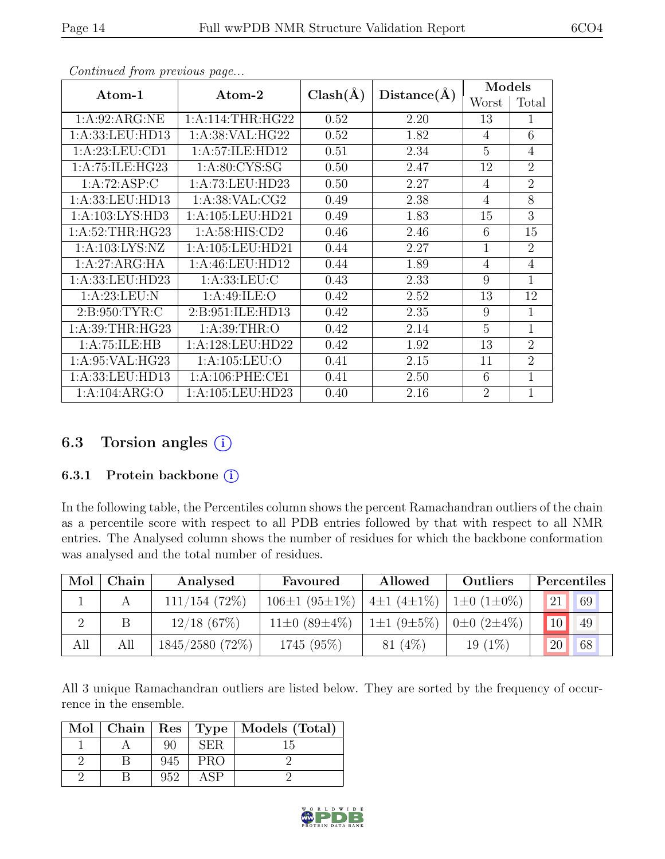| $Atom-1$            | $\bm{\mathrm{Atom}\text{-}2}$ | $Clash(\AA)$ | Distance(A) | Models         |                |
|---------------------|-------------------------------|--------------|-------------|----------------|----------------|
|                     |                               |              |             | Worst          | Total          |
| 1: A:92: ARG:NE     | 1: A:114:THR:HG22             | 0.52         | 2.20        | 13             | 1              |
| 1:A:33:LEU:HD13     | 1:A:38:VAL:HG22               | 0.52         | 1.82        | 4              | 6              |
| 1: A:23:LEU:CD1     | 1:A:57:ILE:HD12               | 0.51         | 2.34        | 5              | $\overline{4}$ |
| 1:A:75:ILE:HG23     | 1: A:80: CYS:SG               | 0.50         | 2.47        | 12             | $\overline{2}$ |
| 1:A:72:ASP:C        | 1:A:73:LEU:HD23               | 0.50         | 2.27        | 4              | $\overline{2}$ |
| 1:A:33:LEU:HD13     | 1: A:38: VAL:CG2              | 0.49         | 2.38        | 4              | 8              |
| 1: A: 103: LYS: HD3 | 1: A: 105: LEU: HD21          | 0.49         | 1.83        | 15             | 3              |
| 1: A:52:THR:HG23    | 1: A:58: HIS: CD2             | 0.46         | 2.46        | 6              | 15             |
| 1:A:103:LYS:NZ      | 1:A:105:LEU:HD21              | 0.44         | 2.27        | 1              | $\overline{2}$ |
| 1:A:27:ARG:HA       | 1: A: 46: LEU: HD12           | 0.44         | 1.89        | 4              | $\overline{4}$ |
| 1:A:33:LEU:HD23     | 1:A:33:LEU:C                  | 0.43         | 2.33        | 9              | 1              |
| 1:A:23:LEU:N        | 1:A:49:ILE:O                  | 0.42         | 2.52        | 13             | 12             |
| 2: B:950: TYR: C    | 2:B:951:ILE:HD13              | 0.42         | 2.35        | 9              | 1              |
| 1: A:39:THR:HG23    | 1: A:39:THR:O                 | 0.42         | 2.14        | 5              | 1              |
| 1:A:75:ILE:HB       | 1:A:128:LEU:HD22              | 0.42         | 1.92        | 13             | $\overline{2}$ |
| 1: A:95: VAL:HG23   | 1: A: 105: LEU: O             | 0.41         | 2.15        | 11             | $\overline{2}$ |
| 1:A:33:LEU:HD13     | 1: A:106: PHE:CE1             | 0.41         | 2.50        | 6              | $\overline{1}$ |
| 1:A:104:ARG:O       | 1:A:105:LEU:HD23              | 0.40         | 2.16        | $\overline{2}$ | $\overline{1}$ |

Continued from previous page...

### 6.3 Torsion angles  $(i)$

#### 6.3.1 Protein backbone (i)

In the following table, the Percentiles column shows the percent Ramachandran outliers of the chain as a percentile score with respect to all PDB entries followed by that with respect to all NMR entries. The Analysed column shows the number of residues for which the backbone conformation was analysed and the total number of residues.

| Mol | Chain | Analysed          | Favoured            | Allowed                                        | Outliers  | Percentiles                   |
|-----|-------|-------------------|---------------------|------------------------------------------------|-----------|-------------------------------|
|     |       | 111/154(72%)      | $106\pm1(95\pm1\%)$ | $\pm 1$ (4±1%) $\pm 10$ (1±0%)                 |           | 121<br>$\bigcup$ 69 $\bigcup$ |
|     |       | $12/18$ (67\%)    | $11\pm0(89\pm4\%)$  | $1\pm1$ (9 $\pm5\%$ )   0 $\pm0$ (2 $\pm4\%$ ) |           | 10 <br>49                     |
| All | All   | $1845/2580(72\%)$ | 1745 (95%)          | 81(4%)                                         | $19(1\%)$ | 20<br>68                      |

All 3 unique Ramachandran outliers are listed below. They are sorted by the frequency of occurrence in the ensemble.

|  |     |            | Mol   Chain   Res   Type   Models (Total) |
|--|-----|------------|-------------------------------------------|
|  | 90  | <b>SER</b> | L.)                                       |
|  | 945 | <b>PRO</b> |                                           |
|  | 952 | ASP        |                                           |

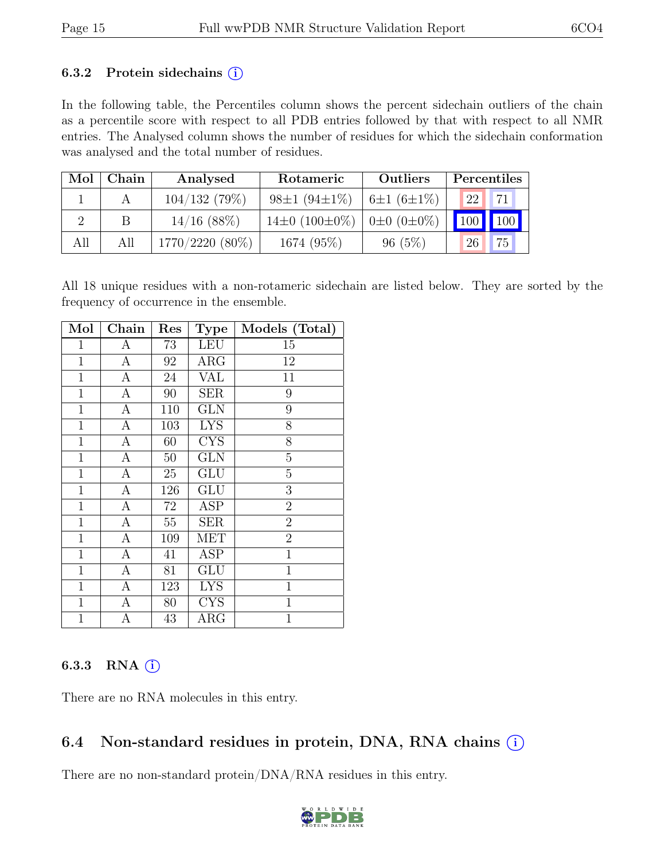### 6.3.2 Protein sidechains  $(i)$

In the following table, the Percentiles column shows the percent sidechain outliers of the chain as a percentile score with respect to all PDB entries followed by that with respect to all NMR entries. The Analysed column shows the number of residues for which the sidechain conformation was analysed and the total number of residues.

| Mol | Chain | Analysed          | Rotameric                | <b>Outliers</b>  | Percentiles |
|-----|-------|-------------------|--------------------------|------------------|-------------|
|     |       | 104/132(79%)      | $98\pm1(94\pm1\%)$       | $6\pm1(6\pm1\%)$ | 71<br>22    |
|     | B     | $14/16$ (88%)     | $14\pm0$ (100 $\pm0\%$ ) | $0±0$ $(0±0\%)$  | $100$ 100   |
| All | All   | $1770/2220(80\%)$ | $1674(95\%)$             | 96(5%)           | 75<br>26    |

All 18 unique residues with a non-rotameric sidechain are listed below. They are sorted by the frequency of occurrence in the ensemble.

| Mol          | Chain            | Res    | <b>Type</b>             | Models (Total) |
|--------------|------------------|--------|-------------------------|----------------|
| $\mathbf{1}$ | А                | 73     | <b>LEU</b>              | 15             |
| $\mathbf{1}$ | А                | 92     | $\rm{ARG}$              | 12             |
| $\mathbf{1}$ | А                | 24     | <b>VAL</b>              | 11             |
| $\mathbf{1}$ | А                | 90     | <b>SER</b>              | 9              |
| $\mathbf{1}$ | $\overline{A}$   | 110    | GLN                     | $\overline{9}$ |
| $\mathbf{1}$ | $\boldsymbol{A}$ | 103    | <b>LYS</b>              | 8              |
| $\mathbf 1$  | $\overline{A}$   | 60     | <b>CYS</b>              | 8              |
| $\mathbf{1}$ | $\boldsymbol{A}$ | 50     | <b>GLN</b>              | $\overline{5}$ |
| $\mathbf{1}$ | А                | 25     | <b>GLU</b>              | $\overline{5}$ |
| $\mathbf{1}$ | $\overline{A}$   | 126    | GLU                     | $\overline{3}$ |
| $\mathbf{1}$ | А                | $72\,$ | <b>ASP</b>              | $\overline{2}$ |
| $\mathbf{1}$ | А                | $55\,$ | <b>SER</b>              | $\overline{2}$ |
| $\mathbf 1$  | А                | 109    | <b>MET</b>              | $\overline{2}$ |
| $\mathbf{1}$ | А                | 41     | <b>ASP</b>              | $\mathbf 1$    |
| $\mathbf{1}$ | А                | 81     | GLU                     | $\overline{1}$ |
| $\mathbf{1}$ | $\mathbf{A}$     | 123    | <b>LYS</b>              | $\mathbf{1}$   |
| $\mathbf{1}$ | $\overline{A}$   | 80     | $\overline{\text{CYS}}$ | $\mathbf 1$    |
| $\mathbf{1}$ | $\overline{A}$   | 43     | $\rm{ARG}$              | $\overline{1}$ |

### 6.3.3 RNA  $(i)$

There are no RNA molecules in this entry.

## 6.4 Non-standard residues in protein, DNA, RNA chains  $(i)$

There are no non-standard protein/DNA/RNA residues in this entry.

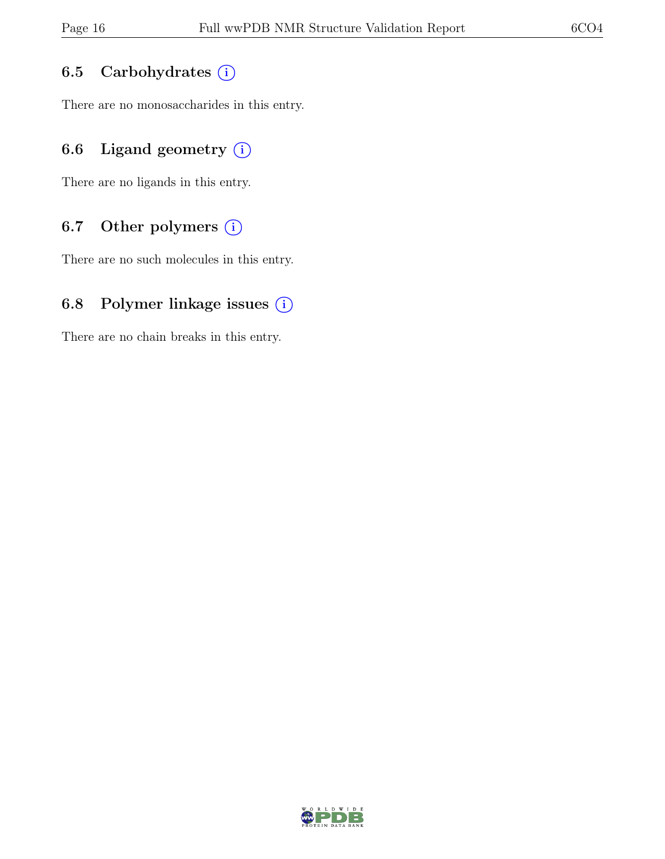### 6.5 Carbohydrates (i)

There are no monosaccharides in this entry.

### 6.6 Ligand geometry  $(i)$

There are no ligands in this entry.

### 6.7 Other polymers (i)

There are no such molecules in this entry.

### 6.8 Polymer linkage issues  $(i)$

There are no chain breaks in this entry.

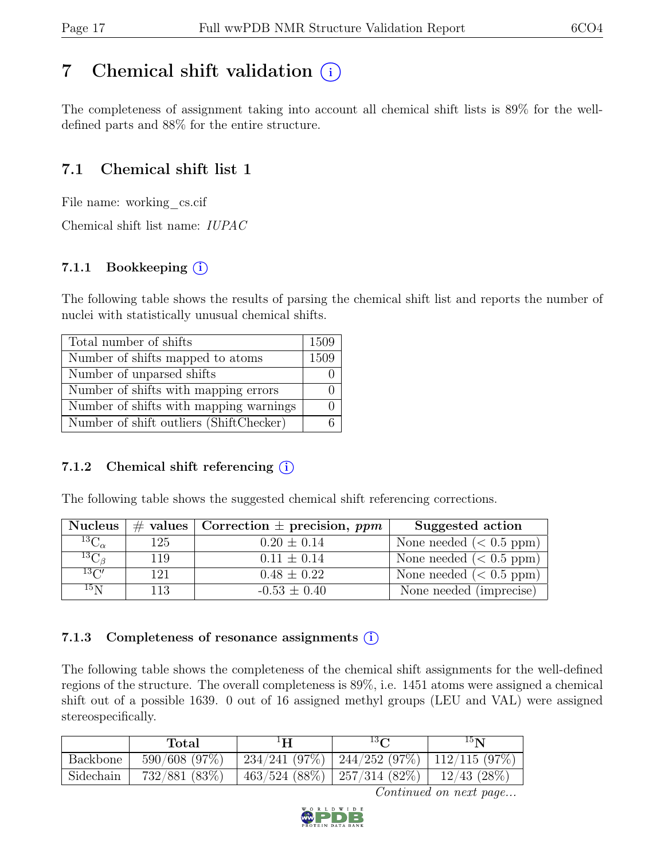## <span id="page-16-0"></span>7 Chemical shift validation  $(i)$

The completeness of assignment taking into account all chemical shift lists is 89% for the welldefined parts and 88% for the entire structure.

## 7.1 Chemical shift list 1

File name: working cs.cif

Chemical shift list name: IUPAC

### 7.1.1 Bookkeeping  $(i)$

The following table shows the results of parsing the chemical shift list and reports the number of nuclei with statistically unusual chemical shifts.

| Total number of shifts                  | 1509 |
|-----------------------------------------|------|
| Number of shifts mapped to atoms        | 1509 |
| Number of unparsed shifts               |      |
| Number of shifts with mapping errors    |      |
| Number of shifts with mapping warnings  |      |
| Number of shift outliers (ShiftChecker) |      |

### 7.1.2 Chemical shift referencing  $(i)$

The following table shows the suggested chemical shift referencing corrections.

| <b>Nucleus</b>                     |      | $\#$ values Correction $\pm$ precision, ppm | Suggested action        |
|------------------------------------|------|---------------------------------------------|-------------------------|
| $\overline{^{13}{\rm C}}_{\alpha}$ | 125  | $0.20 \pm 0.14$                             | None needed $(0.5 ppm)$ |
| ${}^{13}C_{\beta}$                 | 119  | $0.11 \pm 0.14$                             | None needed $(0.5 ppm)$ |
| 13C'                               | 121  | $0.48 \pm 0.22$                             | None needed $(0.5 ppm)$ |
| 15 <sub>N</sub>                    | 113. | $-0.53 \pm 0.40$                            | None needed (imprecise) |

### 7.1.3 Completeness of resonance assignments  $(i)$

The following table shows the completeness of the chemical shift assignments for the well-defined regions of the structure. The overall completeness is 89%, i.e. 1451 atoms were assigned a chemical shift out of a possible 1639. 0 out of 16 assigned methyl groups (LEU and VAL) were assigned stereospecifically.

|           | Total         | ⊥H | $13\Omega$                                      | 15 <sub>N</sub>  |
|-----------|---------------|----|-------------------------------------------------|------------------|
| Backbone  | 590/608 (97%) |    | $234/241$ (97%)   244/252 (97%)   112/115 (97%) |                  |
| Sidechain | 732/881 (83%) |    | $463/524$ (88%)   257/314 (82%)                 | $12/43$ $(28\%)$ |

Continued on next page...

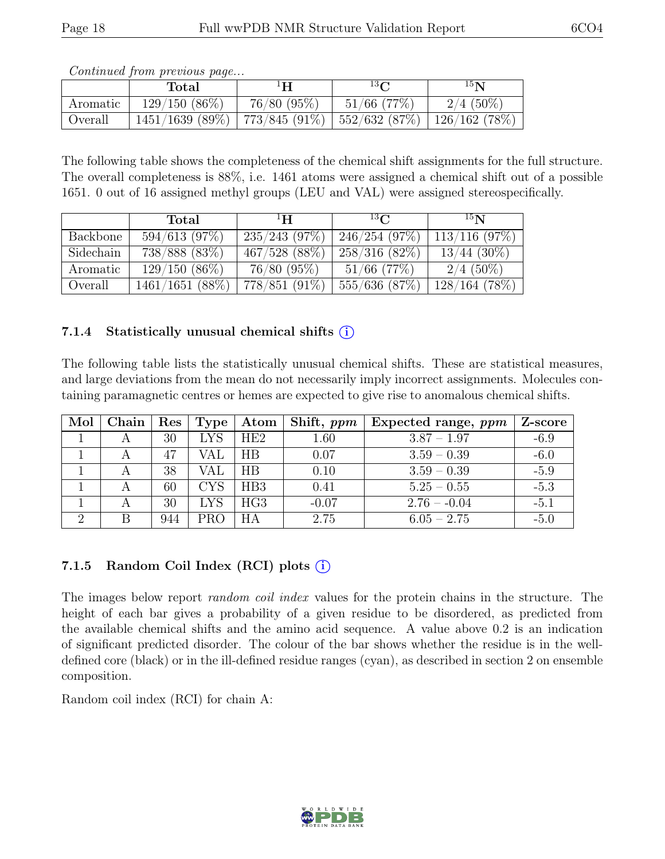|          | content and the process was payoff<br>Total                       | ŀН         | 13 <sup>o</sup> | 15 <sub>N</sub> |
|----------|-------------------------------------------------------------------|------------|-----------------|-----------------|
| Aromatic | $129/150(86\%)$                                                   | 76/80(95%) | $51/66$ (77\%)  | $2/4$ (50%)     |
| Overall  | $1451/1639$ (89%)   773/845 (91%)   552/632 (87%)   126/162 (78%) |            |                 |                 |

Continued from previous page...

The following table shows the completeness of the chemical shift assignments for the full structure. The overall completeness is 88%, i.e. 1461 atoms were assigned a chemical shift out of a possible 1651. 0 out of 16 assigned methyl groups (LEU and VAL) were assigned stereospecifically.

|           | Total              | $\mathbf{H}^1$  | $^{13}C$         | $^{15}$ N        |
|-----------|--------------------|-----------------|------------------|------------------|
| Backbone  | 594/613(97%)       | 235/243(97%)    | 246/254(97%)     | $113/116$ (97\%) |
| Sidechain | 738/888 (83%)      | 467/528 (88%)   | 258/316(82%)     | $13/44$ (30%)    |
| Aromatic  | $129/150(86\%)$    | 76/80 (95%)     | $51/66$ (77\%)   | $2/4$ (50%)      |
| Overall   | $1461/1651$ (88\%) | $778/851(91\%)$ | $555/636$ (87\%) | $128/164$ (78%)  |

### 7.1.4 Statistically unusual chemical shifts  $(i)$

The following table lists the statistically unusual chemical shifts. These are statistical measures, and large deviations from the mean do not necessarily imply incorrect assignments. Molecules containing paramagnetic centres or hemes are expected to give rise to anomalous chemical shifts.

| Mol | Chain | $\operatorname{Res}$ | Type       | Atom | Shift, ppm | Expected range, $ppm$ | Z-score |
|-----|-------|----------------------|------------|------|------------|-----------------------|---------|
|     |       | 30                   | LYS        | HE2  | 1.60       | $3.87 - 1.97$         | $-6.9$  |
|     |       | 47                   | VAL        | ΗB   | 0.07       | $3.59 - 0.39$         | $-6.0$  |
|     |       | 38                   | VAL        | ΗB   | 0.10       | $3.59 - 0.39$         | $-5.9$  |
|     |       | 60                   | <b>CYS</b> | HB3  | 0.41       | $5.25 - 0.55$         | $-5.3$  |
|     |       | 30                   | <b>LYS</b> | HG3  | $-0.07$    | $2.76 - 0.04$         | $-5.1$  |
| റ   |       | 944                  | PRO        |      | 2.75       | $6.05 - 2.75$         | $-5.0$  |

### 7.1.5 Random Coil Index  $(RCI)$  plots  $(i)$

The images below report *random coil index* values for the protein chains in the structure. The height of each bar gives a probability of a given residue to be disordered, as predicted from the available chemical shifts and the amino acid sequence. A value above 0.2 is an indication of significant predicted disorder. The colour of the bar shows whether the residue is in the welldefined core (black) or in the ill-defined residue ranges (cyan), as described in section 2 on ensemble composition.

Random coil index (RCI) for chain A: